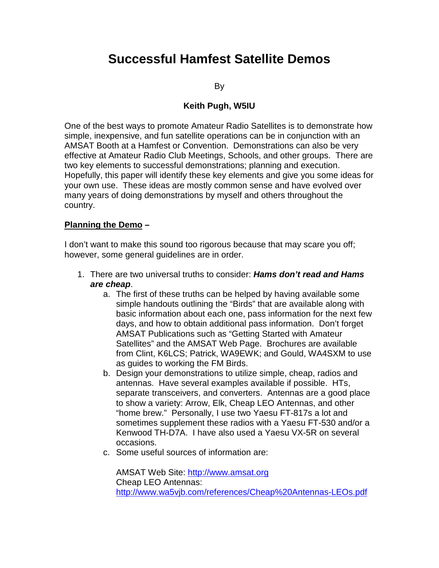## **Successful Hamfest Satellite Demos**

By

## **Keith Pugh, W5IU**

One of the best ways to promote Amateur Radio Satellites is to demonstrate how simple, inexpensive, and fun satellite operations can be in conjunction with an AMSAT Booth at a Hamfest or Convention. Demonstrations can also be very effective at Amateur Radio Club Meetings, Schools, and other groups. There are two key elements to successful demonstrations; planning and execution. Hopefully, this paper will identify these key elements and give you some ideas for your own use. These ideas are mostly common sense and have evolved over many years of doing demonstrations by myself and others throughout the country.

## **Planning the Demo –**

I don't want to make this sound too rigorous because that may scare you off; however, some general guidelines are in order.

- 1. There are two universal truths to consider: **Hams don't read and Hams are cheap**.
	- a. The first of these truths can be helped by having available some simple handouts outlining the "Birds" that are available along with basic information about each one, pass information for the next few days, and how to obtain additional pass information. Don't forget AMSAT Publications such as "Getting Started with Amateur Satellites" and the AMSAT Web Page. Brochures are available from Clint, K6LCS; Patrick, WA9EWK; and Gould, WA4SXM to use as guides to working the FM Birds.
	- b. Design your demonstrations to utilize simple, cheap, radios and antennas. Have several examples available if possible. HTs, separate transceivers, and converters. Antennas are a good place to show a variety: Arrow, Elk, Cheap LEO Antennas, and other "home brew." Personally, I use two Yaesu FT-817s a lot and sometimes supplement these radios with a Yaesu FT-530 and/or a Kenwood TH-D7A. I have also used a Yaesu VX-5R on several occasions.
	- c. Some useful sources of information are:

AMSAT Web Site: http://www.amsat.org Cheap LEO Antennas: http://www.wa5vjb.com/references/Cheap%20Antennas-LEOs.pdf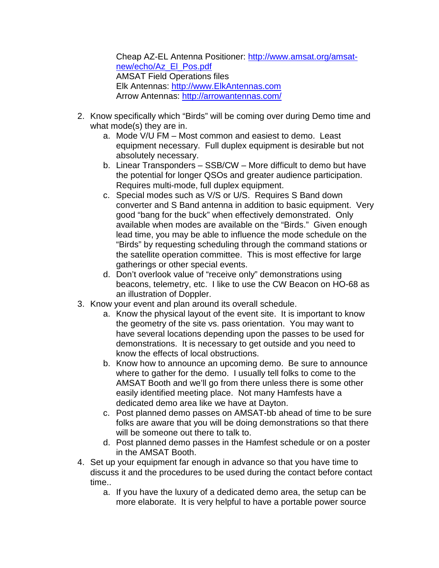Cheap AZ-EL Antenna Positioner: http://www.amsat.org/amsatnew/echo/Az\_El\_Pos.pdf AMSAT Field Operations files Elk Antennas: http://www.ElkAntennas.com Arrow Antennas: http://arrowantennas.com/

- 2. Know specifically which "Birds" will be coming over during Demo time and what mode(s) they are in.
	- a. Mode V/U FM Most common and easiest to demo. Least equipment necessary. Full duplex equipment is desirable but not absolutely necessary.
	- b. Linear Transponders SSB/CW More difficult to demo but have the potential for longer QSOs and greater audience participation. Requires multi-mode, full duplex equipment.
	- c. Special modes such as V/S or U/S. Requires S Band down converter and S Band antenna in addition to basic equipment. Very good "bang for the buck" when effectively demonstrated. Only available when modes are available on the "Birds." Given enough lead time, you may be able to influence the mode schedule on the "Birds" by requesting scheduling through the command stations or the satellite operation committee. This is most effective for large gatherings or other special events.
	- d. Don't overlook value of "receive only" demonstrations using beacons, telemetry, etc. I like to use the CW Beacon on HO-68 as an illustration of Doppler.
- 3. Know your event and plan around its overall schedule.
	- a. Know the physical layout of the event site. It is important to know the geometry of the site vs. pass orientation. You may want to have several locations depending upon the passes to be used for demonstrations. It is necessary to get outside and you need to know the effects of local obstructions.
	- b. Know how to announce an upcoming demo. Be sure to announce where to gather for the demo. I usually tell folks to come to the AMSAT Booth and we'll go from there unless there is some other easily identified meeting place. Not many Hamfests have a dedicated demo area like we have at Dayton.
	- c. Post planned demo passes on AMSAT-bb ahead of time to be sure folks are aware that you will be doing demonstrations so that there will be someone out there to talk to.
	- d. Post planned demo passes in the Hamfest schedule or on a poster in the AMSAT Booth.
- 4. Set up your equipment far enough in advance so that you have time to discuss it and the procedures to be used during the contact before contact time..
	- a. If you have the luxury of a dedicated demo area, the setup can be more elaborate. It is very helpful to have a portable power source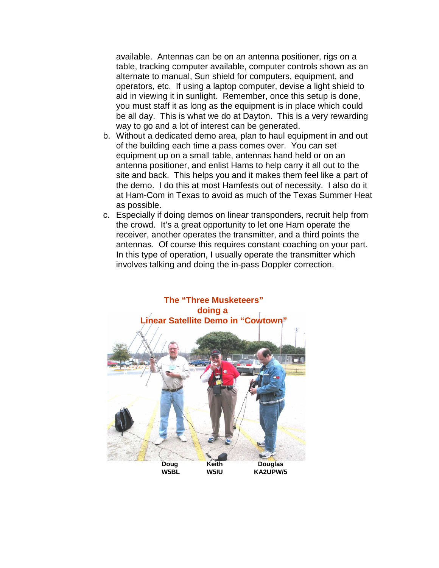available. Antennas can be on an antenna positioner, rigs on a table, tracking computer available, computer controls shown as an alternate to manual, Sun shield for computers, equipment, and operators, etc. If using a laptop computer, devise a light shield to aid in viewing it in sunlight. Remember, once this setup is done, you must staff it as long as the equipment is in place which could be all day. This is what we do at Dayton. This is a very rewarding way to go and a lot of interest can be generated.

- b. Without a dedicated demo area, plan to haul equipment in and out of the building each time a pass comes over. You can set equipment up on a small table, antennas hand held or on an antenna positioner, and enlist Hams to help carry it all out to the site and back. This helps you and it makes them feel like a part of the demo. I do this at most Hamfests out of necessity. I also do it at Ham-Com in Texas to avoid as much of the Texas Summer Heat as possible.
- c. Especially if doing demos on linear transponders, recruit help from the crowd. It's a great opportunity to let one Ham operate the receiver, another operates the transmitter, and a third points the antennas. Of course this requires constant coaching on your part. In this type of operation, I usually operate the transmitter which involves talking and doing the in-pass Doppler correction.

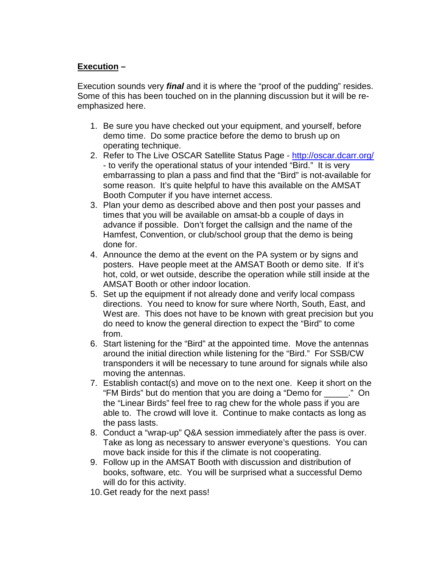## **Execution –**

Execution sounds very **final** and it is where the "proof of the pudding" resides. Some of this has been touched on in the planning discussion but it will be reemphasized here.

- 1. Be sure you have checked out your equipment, and yourself, before demo time. Do some practice before the demo to brush up on operating technique.
- 2. Refer to The Live OSCAR Satellite Status Page http://oscar.dcarr.org/ - to verify the operational status of your intended "Bird." It is very embarrassing to plan a pass and find that the "Bird" is not-available for some reason. It's quite helpful to have this available on the AMSAT Booth Computer if you have internet access.
- 3. Plan your demo as described above and then post your passes and times that you will be available on amsat-bb a couple of days in advance if possible. Don't forget the callsign and the name of the Hamfest, Convention, or club/school group that the demo is being done for.
- 4. Announce the demo at the event on the PA system or by signs and posters. Have people meet at the AMSAT Booth or demo site. If it's hot, cold, or wet outside, describe the operation while still inside at the AMSAT Booth or other indoor location.
- 5. Set up the equipment if not already done and verify local compass directions. You need to know for sure where North, South, East, and West are. This does not have to be known with great precision but you do need to know the general direction to expect the "Bird" to come from.
- 6. Start listening for the "Bird" at the appointed time. Move the antennas around the initial direction while listening for the "Bird." For SSB/CW transponders it will be necessary to tune around for signals while also moving the antennas.
- 7. Establish contact(s) and move on to the next one. Keep it short on the "FM Birds" but do mention that you are doing a "Demo for \_\_\_\_\_." On the "Linear Birds" feel free to rag chew for the whole pass if you are able to. The crowd will love it. Continue to make contacts as long as the pass lasts.
- 8. Conduct a "wrap-up" Q&A session immediately after the pass is over. Take as long as necessary to answer everyone's questions. You can move back inside for this if the climate is not cooperating.
- 9. Follow up in the AMSAT Booth with discussion and distribution of books, software, etc. You will be surprised what a successful Demo will do for this activity.
- 10. Get ready for the next pass!